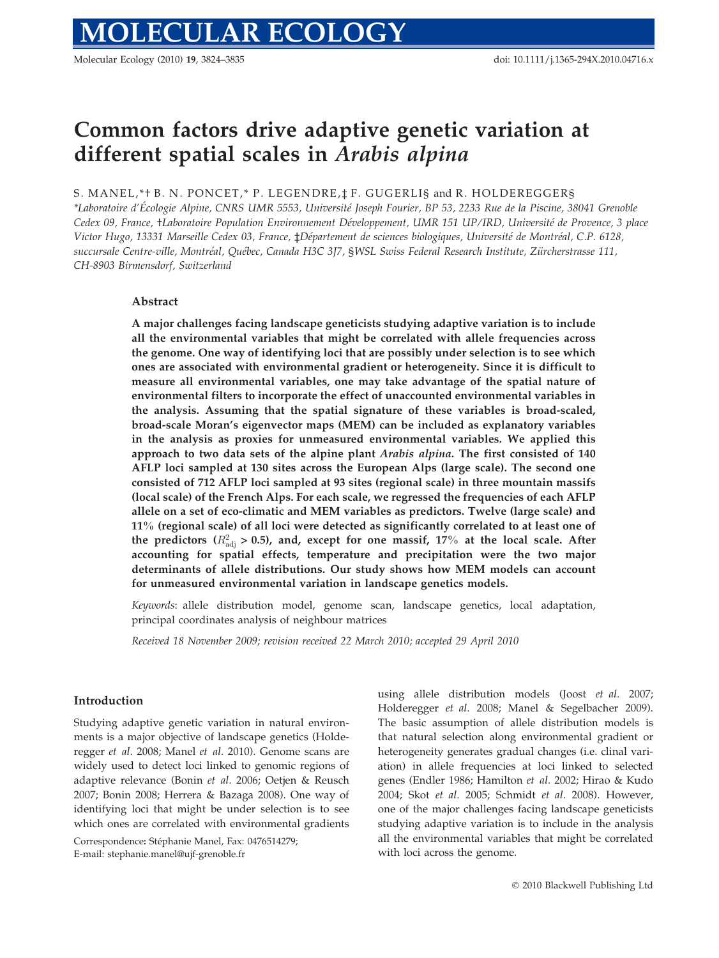Molecular Ecology (2010) 19, 3824–3835 doi: 10.1111/j.1365-294X.2010.04716.x

# Common factors drive adaptive genetic variation at different spatial scales in Arabis alpina

S. MANEL,\*† B. N. PONCET,\* P. LEGENDRE,‡ F. GUGERLI§ and R. HOLDEREGGER§

\*Laboratoire d'E´ cologie Alpine, CNRS UMR 5553, Universite´ Joseph Fourier, BP 53, 2233 Rue de la Piscine, 38041 Grenoble Cedex 09, France, †Laboratoire Population Environnement Développement, UMR 151 UP/IRD, Université de Provence, 3 place Victor Hugo, 13331 Marseille Cedex 03, France,  $\ddagger$ Département de sciences biologiques, Université de Montréal, C.P. 6128, succursale Centre-ville, Montréal, Québec, Canada H3C 3J7, §WSL Swiss Federal Research Institute, Zürcherstrasse 111, CH-8903 Birmensdorf, Switzerland

#### Abstract

A major challenges facing landscape geneticists studying adaptive variation is to include all the environmental variables that might be correlated with allele frequencies across the genome. One way of identifying loci that are possibly under selection is to see which ones are associated with environmental gradient or heterogeneity. Since it is difficult to measure all environmental variables, one may take advantage of the spatial nature of environmental filters to incorporate the effect of unaccounted environmental variables in the analysis. Assuming that the spatial signature of these variables is broad-scaled, broad-scale Moran's eigenvector maps (MEM) can be included as explanatory variables in the analysis as proxies for unmeasured environmental variables. We applied this approach to two data sets of the alpine plant Arabis alpina. The first consisted of 140 AFLP loci sampled at 130 sites across the European Alps (large scale). The second one consisted of 712 AFLP loci sampled at 93 sites (regional scale) in three mountain massifs (local scale) of the French Alps. For each scale, we regressed the frequencies of each AFLP allele on a set of eco-climatic and MEM variables as predictors. Twelve (large scale) and 11% (regional scale) of all loci were detected as significantly correlated to at least one of the predictors ( $R_{\text{adj}}^2 > 0.5$ ), and, except for one massif, 17% at the local scale. After accounting for spatial effects, temperature and precipitation were the two major determinants of allele distributions. Our study shows how MEM models can account for unmeasured environmental variation in landscape genetics models.

Keywords: allele distribution model, genome scan, landscape genetics, local adaptation, principal coordinates analysis of neighbour matrices

Received 18 November 2009; revision received 22 March 2010; accepted 29 April 2010

#### Introduction

Studying adaptive genetic variation in natural environments is a major objective of landscape genetics (Holderegger et al. 2008; Manel et al. 2010). Genome scans are widely used to detect loci linked to genomic regions of adaptive relevance (Bonin et al. 2006; Oetjen & Reusch 2007; Bonin 2008; Herrera & Bazaga 2008). One way of identifying loci that might be under selection is to see which ones are correlated with environmental gradients

Correspondence: Stéphanie Manel, Fax: 0476514279; E-mail: stephanie.manel@ujf-grenoble.fr

using allele distribution models (Joost et al. 2007; Holderegger et al. 2008; Manel & Segelbacher 2009). The basic assumption of allele distribution models is that natural selection along environmental gradient or heterogeneity generates gradual changes (i.e. clinal variation) in allele frequencies at loci linked to selected genes (Endler 1986; Hamilton et al. 2002; Hirao & Kudo 2004; Skot et al. 2005; Schmidt et al. 2008). However, one of the major challenges facing landscape geneticists studying adaptive variation is to include in the analysis all the environmental variables that might be correlated with loci across the genome.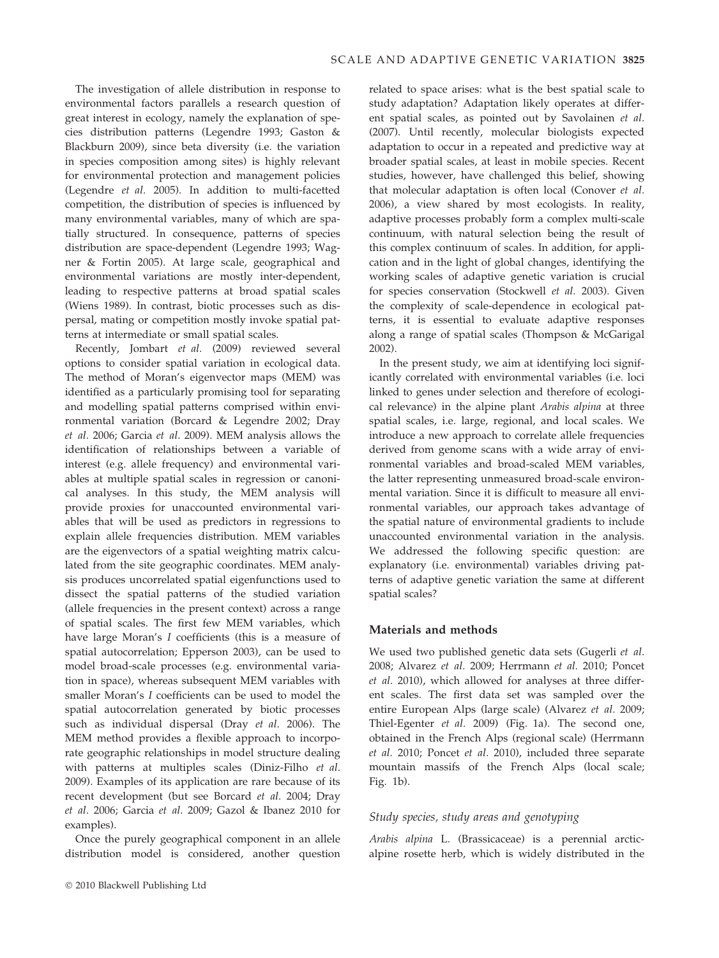The investigation of allele distribution in response to environmental factors parallels a research question of great interest in ecology, namely the explanation of species distribution patterns (Legendre 1993; Gaston & Blackburn 2009), since beta diversity (i.e. the variation in species composition among sites) is highly relevant for environmental protection and management policies (Legendre et al. 2005). In addition to multi-facetted competition, the distribution of species is influenced by many environmental variables, many of which are spatially structured. In consequence, patterns of species distribution are space-dependent (Legendre 1993; Wagner & Fortin 2005). At large scale, geographical and environmental variations are mostly inter-dependent, leading to respective patterns at broad spatial scales (Wiens 1989). In contrast, biotic processes such as dispersal, mating or competition mostly invoke spatial patterns at intermediate or small spatial scales.

Recently, Jombart et al. (2009) reviewed several options to consider spatial variation in ecological data. The method of Moran's eigenvector maps (MEM) was identified as a particularly promising tool for separating and modelling spatial patterns comprised within environmental variation (Borcard & Legendre 2002; Dray et al. 2006; Garcia et al. 2009). MEM analysis allows the identification of relationships between a variable of interest (e.g. allele frequency) and environmental variables at multiple spatial scales in regression or canonical analyses. In this study, the MEM analysis will provide proxies for unaccounted environmental variables that will be used as predictors in regressions to explain allele frequencies distribution. MEM variables are the eigenvectors of a spatial weighting matrix calculated from the site geographic coordinates. MEM analysis produces uncorrelated spatial eigenfunctions used to dissect the spatial patterns of the studied variation (allele frequencies in the present context) across a range of spatial scales. The first few MEM variables, which have large Moran's I coefficients (this is a measure of spatial autocorrelation; Epperson 2003), can be used to model broad-scale processes (e.g. environmental variation in space), whereas subsequent MEM variables with smaller Moran's I coefficients can be used to model the spatial autocorrelation generated by biotic processes such as individual dispersal (Dray et al. 2006). The MEM method provides a flexible approach to incorporate geographic relationships in model structure dealing with patterns at multiples scales (Diniz-Filho et al. 2009). Examples of its application are rare because of its recent development (but see Borcard et al. 2004; Dray et al. 2006; Garcia et al. 2009; Gazol & Ibanez 2010 for examples).

Once the purely geographical component in an allele distribution model is considered, another question

related to space arises: what is the best spatial scale to study adaptation? Adaptation likely operates at different spatial scales, as pointed out by Savolainen et al. (2007). Until recently, molecular biologists expected adaptation to occur in a repeated and predictive way at broader spatial scales, at least in mobile species. Recent studies, however, have challenged this belief, showing that molecular adaptation is often local (Conover et al. 2006), a view shared by most ecologists. In reality, adaptive processes probably form a complex multi-scale continuum, with natural selection being the result of this complex continuum of scales. In addition, for application and in the light of global changes, identifying the working scales of adaptive genetic variation is crucial for species conservation (Stockwell et al. 2003). Given the complexity of scale-dependence in ecological patterns, it is essential to evaluate adaptive responses along a range of spatial scales (Thompson & McGarigal 2002).

In the present study, we aim at identifying loci significantly correlated with environmental variables (i.e. loci linked to genes under selection and therefore of ecological relevance) in the alpine plant Arabis alpina at three spatial scales, i.e. large, regional, and local scales. We introduce a new approach to correlate allele frequencies derived from genome scans with a wide array of environmental variables and broad-scaled MEM variables, the latter representing unmeasured broad-scale environmental variation. Since it is difficult to measure all environmental variables, our approach takes advantage of the spatial nature of environmental gradients to include unaccounted environmental variation in the analysis. We addressed the following specific question: are explanatory (i.e. environmental) variables driving patterns of adaptive genetic variation the same at different spatial scales?

## Materials and methods

We used two published genetic data sets (Gugerli et al. 2008; Alvarez et al. 2009; Herrmann et al. 2010; Poncet et al. 2010), which allowed for analyses at three different scales. The first data set was sampled over the entire European Alps (large scale) (Alvarez et al. 2009; Thiel-Egenter et al. 2009) (Fig. 1a). The second one, obtained in the French Alps (regional scale) (Herrmann et al. 2010; Poncet et al. 2010), included three separate mountain massifs of the French Alps (local scale; Fig. 1b).

#### Study species, study areas and genotyping

Arabis alpina L. (Brassicaceae) is a perennial arcticalpine rosette herb, which is widely distributed in the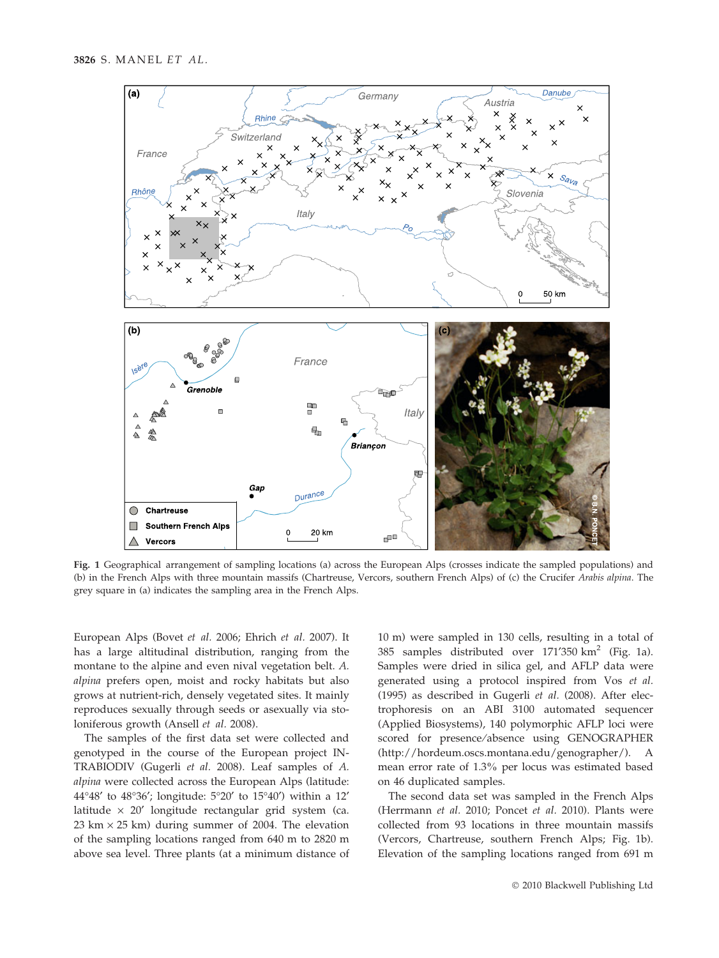

Fig. 1 Geographical arrangement of sampling locations (a) across the European Alps (crosses indicate the sampled populations) and (b) in the French Alps with three mountain massifs (Chartreuse, Vercors, southern French Alps) of (c) the Crucifer Arabis alpina. The grey square in (a) indicates the sampling area in the French Alps.

European Alps (Bovet et al. 2006; Ehrich et al. 2007). It has a large altitudinal distribution, ranging from the montane to the alpine and even nival vegetation belt. A. alpina prefers open, moist and rocky habitats but also grows at nutrient-rich, densely vegetated sites. It mainly reproduces sexually through seeds or asexually via stoloniferous growth (Ansell et al. 2008).

The samples of the first data set were collected and genotyped in the course of the European project IN-TRABIODIV (Gugerli et al. 2008). Leaf samples of A. alpina were collected across the European Alps (latitude: 44°48′ to 48°36′; longitude:  $5^{\circ}20'$  to  $15^{\circ}40'$ ) within a 12′ latitude  $\times$  20' longitude rectangular grid system (ca. 23 km  $\times$  25 km) during summer of 2004. The elevation of the sampling locations ranged from 640 m to 2820 m above sea level. Three plants (at a minimum distance of

10 m) were sampled in 130 cells, resulting in a total of 385 samples distributed over 171'350 km<sup>2</sup> (Fig. 1a). Samples were dried in silica gel, and AFLP data were generated using a protocol inspired from Vos et al. (1995) as described in Gugerli et al. (2008). After electrophoresis on an ABI 3100 automated sequencer (Applied Biosystems), 140 polymorphic AFLP loci were scored for presence/absence using GENOGRAPHER (http://hordeum.oscs.montana.edu/genographer/). A mean error rate of 1.3% per locus was estimated based on 46 duplicated samples.

The second data set was sampled in the French Alps (Herrmann et al. 2010; Poncet et al. 2010). Plants were collected from 93 locations in three mountain massifs (Vercors, Chartreuse, southern French Alps; Fig. 1b). Elevation of the sampling locations ranged from 691 m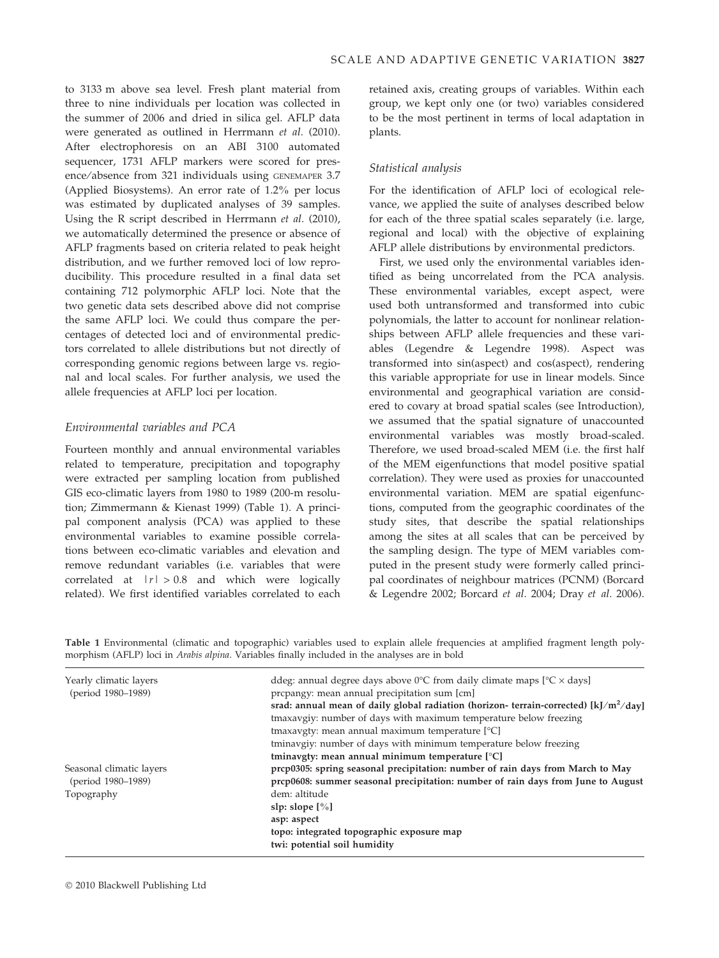to 3133 m above sea level. Fresh plant material from three to nine individuals per location was collected in the summer of 2006 and dried in silica gel. AFLP data were generated as outlined in Herrmann et al. (2010). After electrophoresis on an ABI 3100 automated sequencer, 1731 AFLP markers were scored for presence/absence from 321 individuals using GENEMAPER 3.7 (Applied Biosystems). An error rate of 1.2% per locus was estimated by duplicated analyses of 39 samples. Using the R script described in Herrmann et al. (2010), we automatically determined the presence or absence of AFLP fragments based on criteria related to peak height distribution, and we further removed loci of low reproducibility. This procedure resulted in a final data set containing 712 polymorphic AFLP loci. Note that the two genetic data sets described above did not comprise the same AFLP loci. We could thus compare the percentages of detected loci and of environmental predictors correlated to allele distributions but not directly of corresponding genomic regions between large vs. regional and local scales. For further analysis, we used the allele frequencies at AFLP loci per location.

#### Environmental variables and PCA

Fourteen monthly and annual environmental variables related to temperature, precipitation and topography were extracted per sampling location from published GIS eco-climatic layers from 1980 to 1989 (200-m resolution; Zimmermann & Kienast 1999) (Table 1). A principal component analysis (PCA) was applied to these environmental variables to examine possible correlations between eco-climatic variables and elevation and remove redundant variables (i.e. variables that were correlated at  $|r| > 0.8$  and which were logically related). We first identified variables correlated to each

retained axis, creating groups of variables. Within each group, we kept only one (or two) variables considered to be the most pertinent in terms of local adaptation in plants.

#### Statistical analysis

For the identification of AFLP loci of ecological relevance, we applied the suite of analyses described below for each of the three spatial scales separately (i.e. large, regional and local) with the objective of explaining AFLP allele distributions by environmental predictors.

First, we used only the environmental variables identified as being uncorrelated from the PCA analysis. These environmental variables, except aspect, were used both untransformed and transformed into cubic polynomials, the latter to account for nonlinear relationships between AFLP allele frequencies and these variables (Legendre & Legendre 1998). Aspect was transformed into sin(aspect) and cos(aspect), rendering this variable appropriate for use in linear models. Since environmental and geographical variation are considered to covary at broad spatial scales (see Introduction), we assumed that the spatial signature of unaccounted environmental variables was mostly broad-scaled. Therefore, we used broad-scaled MEM (i.e. the first half of the MEM eigenfunctions that model positive spatial correlation). They were used as proxies for unaccounted environmental variation. MEM are spatial eigenfunctions, computed from the geographic coordinates of the study sites, that describe the spatial relationships among the sites at all scales that can be perceived by the sampling design. The type of MEM variables computed in the present study were formerly called principal coordinates of neighbour matrices (PCNM) (Borcard & Legendre 2002; Borcard et al. 2004; Dray et al. 2006).

Table 1 Environmental (climatic and topographic) variables used to explain allele frequencies at amplified fragment length polymorphism (AFLP) loci in Arabis alpina. Variables finally included in the analyses are in bold

| Yearly climatic layers<br>(period 1980–1989)   | ddeg: annual degree days above $0^{\circ}C$ from daily climate maps $[{}^{\circ}C \times \text{days}]$<br>prcpangy: mean annual precipitation sum [cm]<br>srad: annual mean of daily global radiation (horizon- terrain-corrected) [kJ/m <sup>2</sup> /day]<br>tmaxavgiy: number of days with maximum temperature below freezing<br>tmaxavgty: mean annual maximum temperature $[°C]$ |  |  |  |
|------------------------------------------------|---------------------------------------------------------------------------------------------------------------------------------------------------------------------------------------------------------------------------------------------------------------------------------------------------------------------------------------------------------------------------------------|--|--|--|
| Seasonal climatic layers<br>(period 1980–1989) | tminavgiy: number of days with minimum temperature below freezing<br>tminavgty: mean annual minimum temperature $[°C]$<br>prcp0305: spring seasonal precipitation: number of rain days from March to May<br>prcp0608: summer seasonal precipitation: number of rain days from June to August                                                                                          |  |  |  |
| Topography                                     | dem: altitude<br>slp: slope $[\%]$<br>asp: aspect<br>topo: integrated topographic exposure map<br>twi: potential soil humidity                                                                                                                                                                                                                                                        |  |  |  |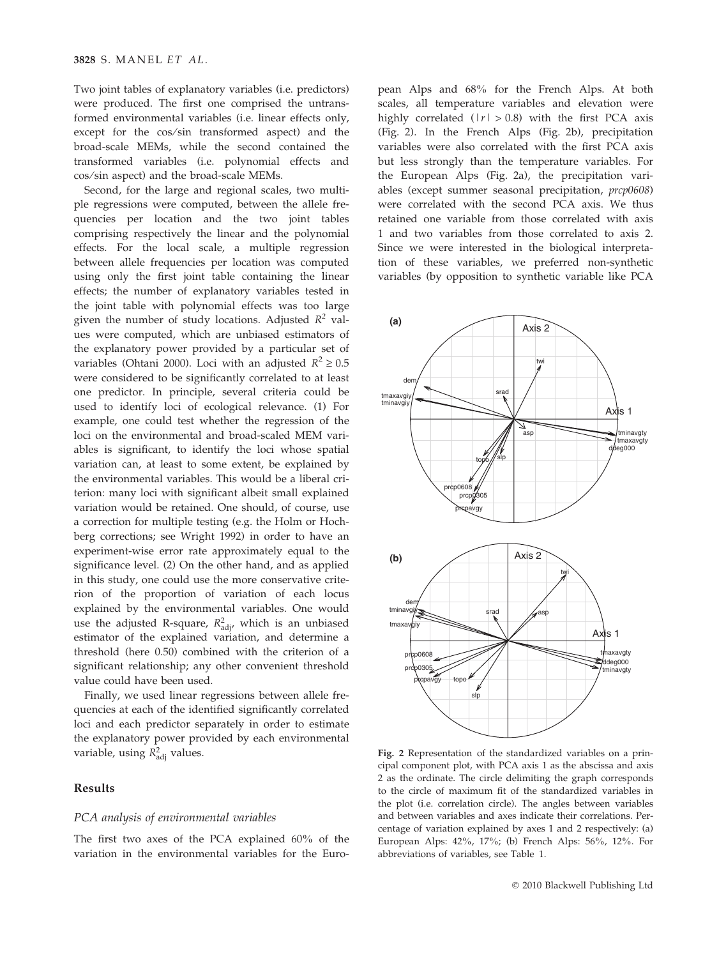Two joint tables of explanatory variables (i.e. predictors) were produced. The first one comprised the untransformed environmental variables (i.e. linear effects only, except for the cos/sin transformed aspect) and the broad-scale MEMs, while the second contained the transformed variables (i.e. polynomial effects and cos ⁄ sin aspect) and the broad-scale MEMs.

Second, for the large and regional scales, two multiple regressions were computed, between the allele frequencies per location and the two joint tables comprising respectively the linear and the polynomial effects. For the local scale, a multiple regression between allele frequencies per location was computed using only the first joint table containing the linear effects; the number of explanatory variables tested in the joint table with polynomial effects was too large given the number of study locations. Adjusted  $R^2$  values were computed, which are unbiased estimators of the explanatory power provided by a particular set of variables (Ohtani 2000). Loci with an adjusted  $R^2 \ge 0.5$ were considered to be significantly correlated to at least one predictor. In principle, several criteria could be used to identify loci of ecological relevance. (1) For example, one could test whether the regression of the loci on the environmental and broad-scaled MEM variables is significant, to identify the loci whose spatial variation can, at least to some extent, be explained by the environmental variables. This would be a liberal criterion: many loci with significant albeit small explained variation would be retained. One should, of course, use a correction for multiple testing (e.g. the Holm or Hochberg corrections; see Wright 1992) in order to have an experiment-wise error rate approximately equal to the significance level. (2) On the other hand, and as applied in this study, one could use the more conservative criterion of the proportion of variation of each locus explained by the environmental variables. One would use the adjusted R-square,  $R_{\text{adj}}^2$ , which is an unbiased estimator of the explained variation, and determine a threshold (here 0.50) combined with the criterion of a significant relationship; any other convenient threshold value could have been used.

Finally, we used linear regressions between allele frequencies at each of the identified significantly correlated loci and each predictor separately in order to estimate the explanatory power provided by each environmental variable, using  $R_{\text{adj}}^2$  values.

#### Results

#### PCA analysis of environmental variables

The first two axes of the PCA explained 60% of the variation in the environmental variables for the Euro-

pean Alps and 68% for the French Alps. At both scales, all temperature variables and elevation were highly correlated  $(|r| > 0.8)$  with the first PCA axis (Fig. 2). In the French Alps (Fig. 2b), precipitation variables were also correlated with the first PCA axis but less strongly than the temperature variables. For the European Alps (Fig. 2a), the precipitation variables (except summer seasonal precipitation, prcp0608) were correlated with the second PCA axis. We thus retained one variable from those correlated with axis 1 and two variables from those correlated to axis 2. Since we were interested in the biological interpretation of these variables, we preferred non-synthetic variables (by opposition to synthetic variable like PCA



Fig. 2 Representation of the standardized variables on a principal component plot, with PCA axis 1 as the abscissa and axis 2 as the ordinate. The circle delimiting the graph corresponds to the circle of maximum fit of the standardized variables in the plot (i.e. correlation circle). The angles between variables and between variables and axes indicate their correlations. Percentage of variation explained by axes 1 and 2 respectively: (a) European Alps: 42%, 17%; (b) French Alps: 56%, 12%. For abbreviations of variables, see Table 1.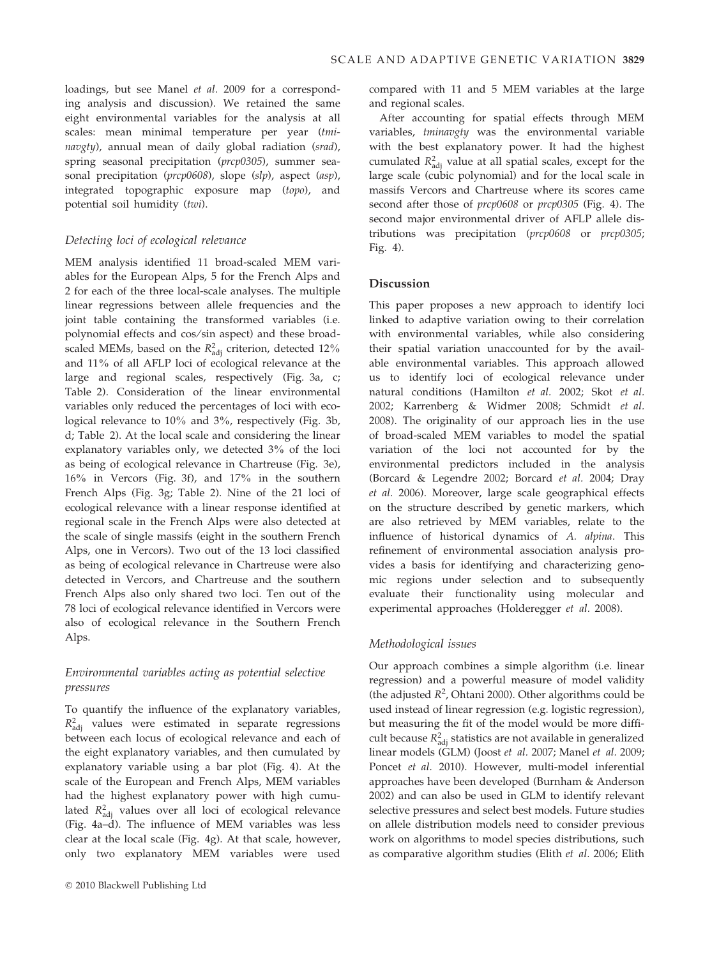loadings, but see Manel et al. 2009 for a corresponding analysis and discussion). We retained the same eight environmental variables for the analysis at all scales: mean minimal temperature per year (tminavgty), annual mean of daily global radiation (srad), spring seasonal precipitation (prcp0305), summer seasonal precipitation (prcp0608), slope (slp), aspect (asp), integrated topographic exposure map (topo), and potential soil humidity (twi).

#### Detecting loci of ecological relevance

MEM analysis identified 11 broad-scaled MEM variables for the European Alps, 5 for the French Alps and 2 for each of the three local-scale analyses. The multiple linear regressions between allele frequencies and the joint table containing the transformed variables (i.e. polynomial effects and cos ⁄ sin aspect) and these broadscaled MEMs, based on the  $R_{\rm adj}^2$  criterion, detected 12% and 11% of all AFLP loci of ecological relevance at the large and regional scales, respectively (Fig. 3a, c; Table 2). Consideration of the linear environmental variables only reduced the percentages of loci with ecological relevance to 10% and 3%, respectively (Fig. 3b, d; Table 2). At the local scale and considering the linear explanatory variables only, we detected 3% of the loci as being of ecological relevance in Chartreuse (Fig. 3e), 16% in Vercors (Fig. 3f), and 17% in the southern French Alps (Fig. 3g; Table 2). Nine of the 21 loci of ecological relevance with a linear response identified at regional scale in the French Alps were also detected at the scale of single massifs (eight in the southern French Alps, one in Vercors). Two out of the 13 loci classified as being of ecological relevance in Chartreuse were also detected in Vercors, and Chartreuse and the southern French Alps also only shared two loci. Ten out of the 78 loci of ecological relevance identified in Vercors were also of ecological relevance in the Southern French Alps.

# Environmental variables acting as potential selective pressures

To quantify the influence of the explanatory variables,  $R_{\text{adj}}^2$  values were estimated in separate regressions between each locus of ecological relevance and each of the eight explanatory variables, and then cumulated by explanatory variable using a bar plot (Fig. 4). At the scale of the European and French Alps, MEM variables had the highest explanatory power with high cumulated  $R_{\text{adj}}^2$  values over all loci of ecological relevance (Fig. 4a–d). The influence of MEM variables was less clear at the local scale (Fig. 4g). At that scale, however, only two explanatory MEM variables were used

compared with 11 and 5 MEM variables at the large and regional scales.

After accounting for spatial effects through MEM variables, tminavgty was the environmental variable with the best explanatory power. It had the highest cumulated  $R_{\text{adj}}^2$  value at all spatial scales, except for the large scale (cubic polynomial) and for the local scale in massifs Vercors and Chartreuse where its scores came second after those of prcp0608 or prcp0305 (Fig. 4). The second major environmental driver of AFLP allele distributions was precipitation (prcp0608 or prcp0305; Fig. 4).

#### Discussion

This paper proposes a new approach to identify loci linked to adaptive variation owing to their correlation with environmental variables, while also considering their spatial variation unaccounted for by the available environmental variables. This approach allowed us to identify loci of ecological relevance under natural conditions (Hamilton et al. 2002; Skot et al. 2002; Karrenberg & Widmer 2008; Schmidt et al. 2008). The originality of our approach lies in the use of broad-scaled MEM variables to model the spatial variation of the loci not accounted for by the environmental predictors included in the analysis (Borcard & Legendre 2002; Borcard et al. 2004; Dray et al. 2006). Moreover, large scale geographical effects on the structure described by genetic markers, which are also retrieved by MEM variables, relate to the influence of historical dynamics of A. alpina. This refinement of environmental association analysis provides a basis for identifying and characterizing genomic regions under selection and to subsequently evaluate their functionality using molecular and experimental approaches (Holderegger et al. 2008).

#### Methodological issues

Our approach combines a simple algorithm (i.e. linear regression) and a powerful measure of model validity (the adjusted  $R^2$ , Ohtani 2000). Other algorithms could be used instead of linear regression (e.g. logistic regression), but measuring the fit of the model would be more difficult because  $R_{\text{adj}}^2$  statistics are not available in generalized linear models (GLM) (Joost et al. 2007; Manel et al. 2009; Poncet et al. 2010). However, multi-model inferential approaches have been developed (Burnham & Anderson 2002) and can also be used in GLM to identify relevant selective pressures and select best models. Future studies on allele distribution models need to consider previous work on algorithms to model species distributions, such as comparative algorithm studies (Elith et al. 2006; Elith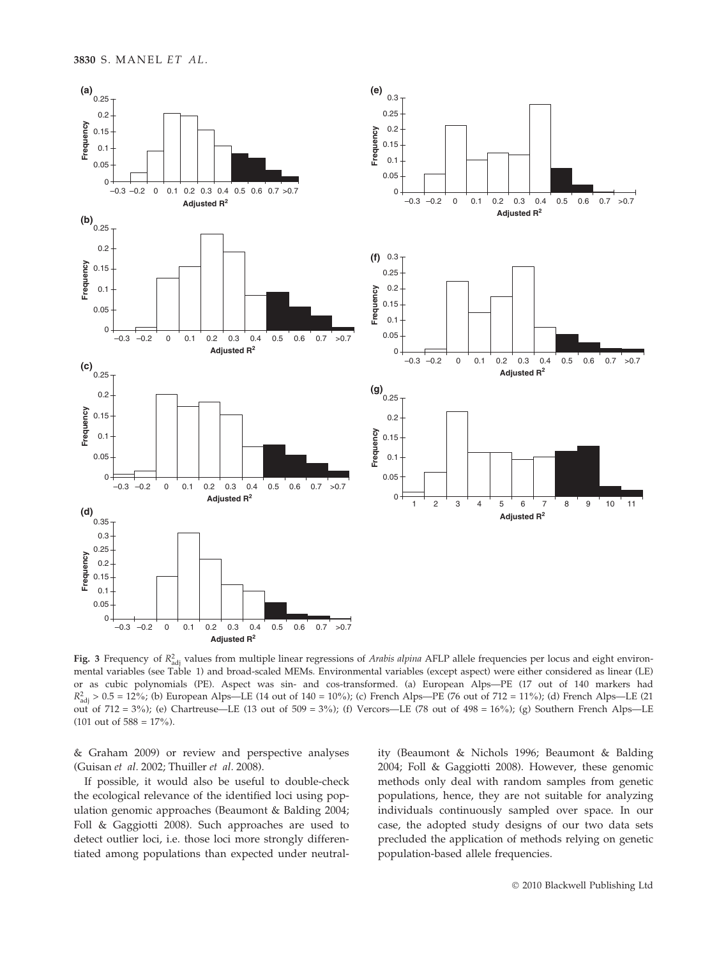

Fig. 3 Frequency of  $R_{\text{adj}}^2$  values from multiple linear regressions of Arabis alpina AFLP allele frequencies per locus and eight environmental variables (see Table 1) and broad-scaled MEMs. Environmental variables (except aspect) were either considered as linear (LE) or as cubic polynomials (PE). Aspect was sin- and cos-transformed. (a) European Alps—PE (17 out of 140 markers had  $R_{\text{adj}}^2 > 0.5 = 12\%$ ; (b) European Alps—LE (14 out of 140 = 10%); (c) French Alps—PE (76 out of 712 = 11%); (d) French Alps—LE (21 out of 712 = 3%); (e) Chartreuse—LE (13 out of 509 = 3%); (f) Vercors—LE (78 out of 498 = 16%); (g) Southern French Alps—LE (101 out of  $588 = 17\%$ ).

& Graham 2009) or review and perspective analyses (Guisan et al. 2002; Thuiller et al. 2008).

If possible, it would also be useful to double-check the ecological relevance of the identified loci using population genomic approaches (Beaumont & Balding 2004; Foll & Gaggiotti 2008). Such approaches are used to detect outlier loci, i.e. those loci more strongly differentiated among populations than expected under neutrality (Beaumont & Nichols 1996; Beaumont & Balding 2004; Foll & Gaggiotti 2008). However, these genomic methods only deal with random samples from genetic populations, hence, they are not suitable for analyzing individuals continuously sampled over space. In our case, the adopted study designs of our two data sets precluded the application of methods relying on genetic population-based allele frequencies.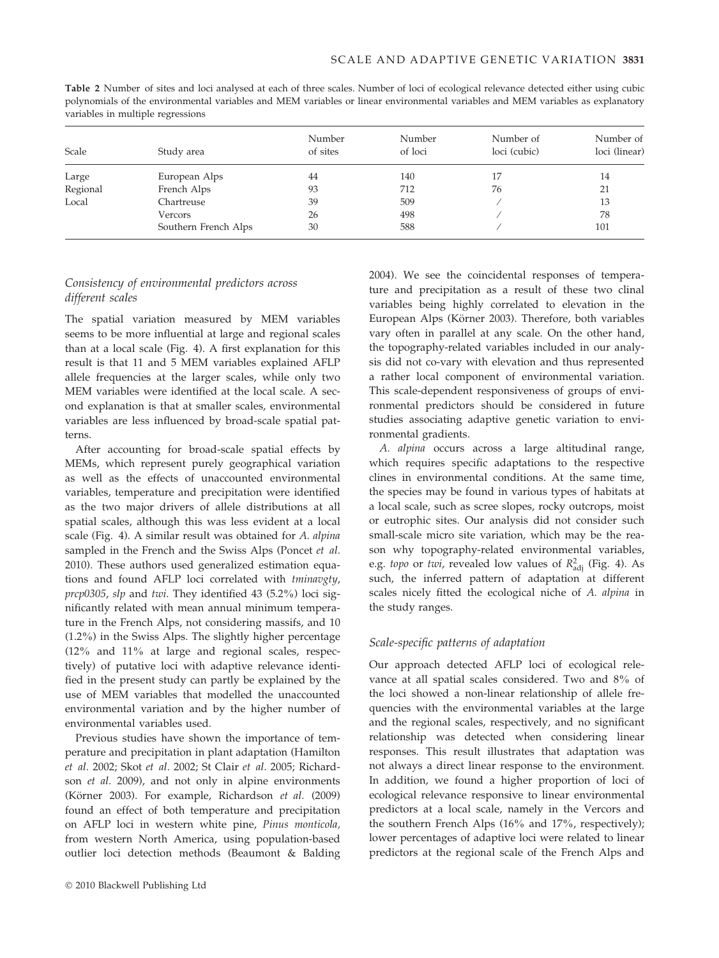Table 2 Number of sites and loci analysed at each of three scales. Number of loci of ecological relevance detected either using cubic polynomials of the environmental variables and MEM variables or linear environmental variables and MEM variables as explanatory variables in multiple regressions

| Scale    | Study area           | Number<br>of sites | Number<br>of loci | Number of<br>loci (cubic) | Number of<br>loci (linear) |
|----------|----------------------|--------------------|-------------------|---------------------------|----------------------------|
| Large    | European Alps        | 44                 | 140               | 17                        | 14                         |
| Regional | French Alps          | 93                 | 712               | 76                        | 21                         |
| Local    | Chartreuse           | 39                 | 509               |                           | 13                         |
|          | Vercors              | 26                 | 498               |                           | 78                         |
|          | Southern French Alps | 30                 | 588               |                           | 101                        |

# Consistency of environmental predictors across different scales

The spatial variation measured by MEM variables seems to be more influential at large and regional scales than at a local scale (Fig. 4). A first explanation for this result is that 11 and 5 MEM variables explained AFLP allele frequencies at the larger scales, while only two MEM variables were identified at the local scale. A second explanation is that at smaller scales, environmental variables are less influenced by broad-scale spatial patterns.

After accounting for broad-scale spatial effects by MEMs, which represent purely geographical variation as well as the effects of unaccounted environmental variables, temperature and precipitation were identified as the two major drivers of allele distributions at all spatial scales, although this was less evident at a local scale (Fig. 4). A similar result was obtained for A. alpina sampled in the French and the Swiss Alps (Poncet et al. 2010). These authors used generalized estimation equations and found AFLP loci correlated with tminavgty, prcp0305, slp and twi. They identified 43 (5.2%) loci significantly related with mean annual minimum temperature in the French Alps, not considering massifs, and 10 (1.2%) in the Swiss Alps. The slightly higher percentage (12% and 11% at large and regional scales, respectively) of putative loci with adaptive relevance identified in the present study can partly be explained by the use of MEM variables that modelled the unaccounted environmental variation and by the higher number of environmental variables used.

Previous studies have shown the importance of temperature and precipitation in plant adaptation (Hamilton et al. 2002; Skot et al. 2002; St Clair et al. 2005; Richardson et al. 2009), and not only in alpine environments (Körner 2003). For example, Richardson et al. (2009) found an effect of both temperature and precipitation on AFLP loci in western white pine, Pinus monticola, from western North America, using population-based outlier loci detection methods (Beaumont & Balding 2004). We see the coincidental responses of temperature and precipitation as a result of these two clinal variables being highly correlated to elevation in the European Alps (Körner 2003). Therefore, both variables vary often in parallel at any scale. On the other hand, the topography-related variables included in our analysis did not co-vary with elevation and thus represented a rather local component of environmental variation. This scale-dependent responsiveness of groups of environmental predictors should be considered in future studies associating adaptive genetic variation to environmental gradients.

A. alpina occurs across a large altitudinal range, which requires specific adaptations to the respective clines in environmental conditions. At the same time, the species may be found in various types of habitats at a local scale, such as scree slopes, rocky outcrops, moist or eutrophic sites. Our analysis did not consider such small-scale micro site variation, which may be the reason why topography-related environmental variables, e.g. *topo* or *twi*, revealed low values of  $R_{\text{adj}}^2$  (Fig. 4). As such, the inferred pattern of adaptation at different scales nicely fitted the ecological niche of A. alpina in the study ranges.

### Scale-specific patterns of adaptation

Our approach detected AFLP loci of ecological relevance at all spatial scales considered. Two and 8% of the loci showed a non-linear relationship of allele frequencies with the environmental variables at the large and the regional scales, respectively, and no significant relationship was detected when considering linear responses. This result illustrates that adaptation was not always a direct linear response to the environment. In addition, we found a higher proportion of loci of ecological relevance responsive to linear environmental predictors at a local scale, namely in the Vercors and the southern French Alps (16% and 17%, respectively); lower percentages of adaptive loci were related to linear predictors at the regional scale of the French Alps and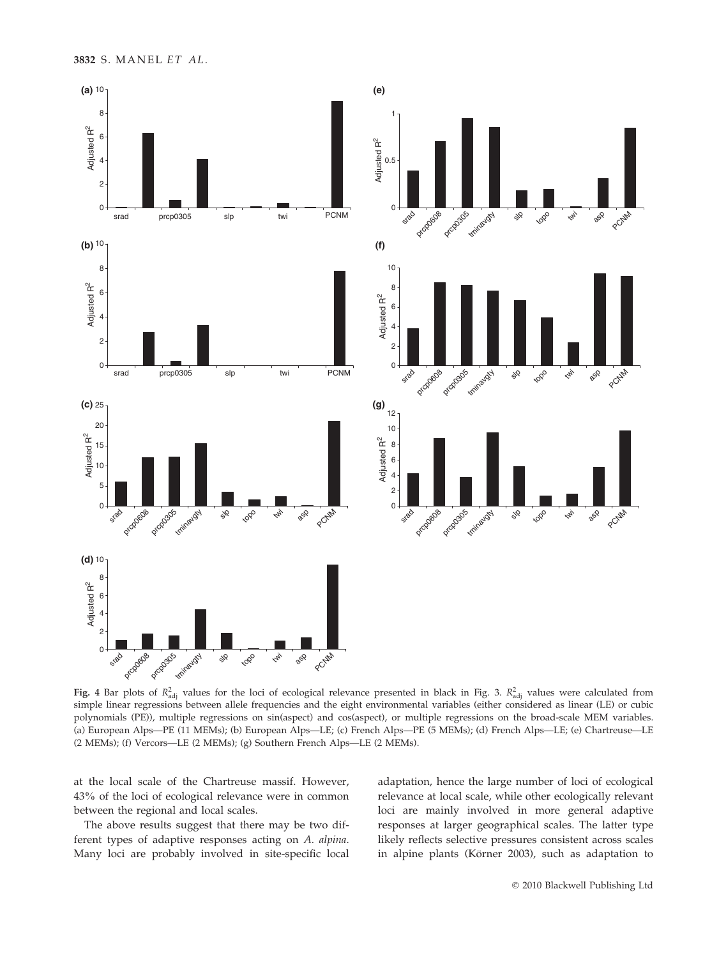

**Fig. 4** Bar plots of  $R_{\rm adj}^2$  values for the loci of ecological relevance presented in black in Fig. 3.  $R_{\rm adj}^2$  values were calculated from simple linear regressions between allele frequencies and the eight environmental variables (either considered as linear (LE) or cubic polynomials (PE)), multiple regressions on sin(aspect) and cos(aspect), or multiple regressions on the broad-scale MEM variables. (a) European Alps—PE (11 MEMs); (b) European Alps—LE; (c) French Alps—PE (5 MEMs); (d) French Alps—LE; (e) Chartreuse—LE (2 MEMs); (f) Vercors—LE (2 MEMs); (g) Southern French Alps—LE (2 MEMs).

at the local scale of the Chartreuse massif. However, 43% of the loci of ecological relevance were in common between the regional and local scales.

The above results suggest that there may be two different types of adaptive responses acting on A. alpina. Many loci are probably involved in site-specific local

adaptation, hence the large number of loci of ecological relevance at local scale, while other ecologically relevant loci are mainly involved in more general adaptive responses at larger geographical scales. The latter type likely reflects selective pressures consistent across scales in alpine plants (Körner 2003), such as adaptation to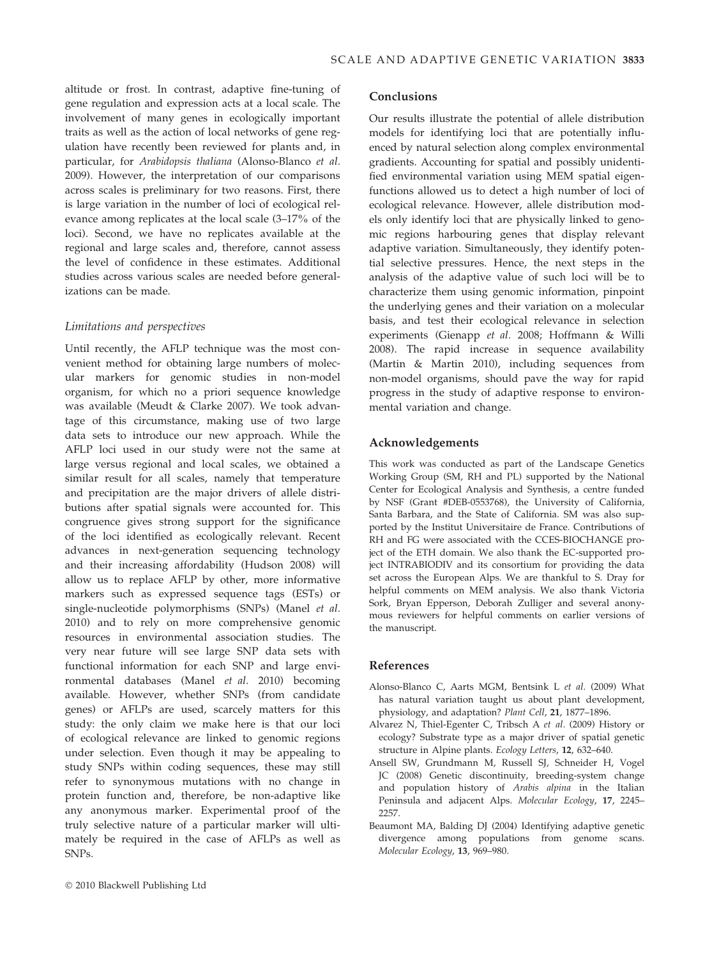altitude or frost. In contrast, adaptive fine-tuning of gene regulation and expression acts at a local scale. The involvement of many genes in ecologically important traits as well as the action of local networks of gene regulation have recently been reviewed for plants and, in particular, for Arabidopsis thaliana (Alonso-Blanco et al. 2009). However, the interpretation of our comparisons across scales is preliminary for two reasons. First, there is large variation in the number of loci of ecological relevance among replicates at the local scale (3–17% of the loci). Second, we have no replicates available at the regional and large scales and, therefore, cannot assess the level of confidence in these estimates. Additional studies across various scales are needed before generalizations can be made.

## Limitations and perspectives

Until recently, the AFLP technique was the most convenient method for obtaining large numbers of molecular markers for genomic studies in non-model organism, for which no a priori sequence knowledge was available (Meudt & Clarke 2007). We took advantage of this circumstance, making use of two large data sets to introduce our new approach. While the AFLP loci used in our study were not the same at large versus regional and local scales, we obtained a similar result for all scales, namely that temperature and precipitation are the major drivers of allele distributions after spatial signals were accounted for. This congruence gives strong support for the significance of the loci identified as ecologically relevant. Recent advances in next-generation sequencing technology and their increasing affordability (Hudson 2008) will allow us to replace AFLP by other, more informative markers such as expressed sequence tags (ESTs) or single-nucleotide polymorphisms (SNPs) (Manel et al. 2010) and to rely on more comprehensive genomic resources in environmental association studies. The very near future will see large SNP data sets with functional information for each SNP and large environmental databases (Manel et al. 2010) becoming available. However, whether SNPs (from candidate genes) or AFLPs are used, scarcely matters for this study: the only claim we make here is that our loci of ecological relevance are linked to genomic regions under selection. Even though it may be appealing to study SNPs within coding sequences, these may still refer to synonymous mutations with no change in protein function and, therefore, be non-adaptive like any anonymous marker. Experimental proof of the truly selective nature of a particular marker will ultimately be required in the case of AFLPs as well as SNPs.

Our results illustrate the potential of allele distribution models for identifying loci that are potentially influenced by natural selection along complex environmental gradients. Accounting for spatial and possibly unidentified environmental variation using MEM spatial eigenfunctions allowed us to detect a high number of loci of ecological relevance. However, allele distribution models only identify loci that are physically linked to genomic regions harbouring genes that display relevant adaptive variation. Simultaneously, they identify potential selective pressures. Hence, the next steps in the analysis of the adaptive value of such loci will be to characterize them using genomic information, pinpoint the underlying genes and their variation on a molecular basis, and test their ecological relevance in selection experiments (Gienapp et al. 2008; Hoffmann & Willi 2008). The rapid increase in sequence availability (Martin & Martin 2010), including sequences from non-model organisms, should pave the way for rapid progress in the study of adaptive response to environmental variation and change.

# Acknowledgements

This work was conducted as part of the Landscape Genetics Working Group (SM, RH and PL) supported by the National Center for Ecological Analysis and Synthesis, a centre funded by NSF (Grant #DEB-0553768), the University of California, Santa Barbara, and the State of California. SM was also supported by the Institut Universitaire de France. Contributions of RH and FG were associated with the CCES-BIOCHANGE project of the ETH domain. We also thank the EC-supported project INTRABIODIV and its consortium for providing the data set across the European Alps. We are thankful to S. Dray for helpful comments on MEM analysis. We also thank Victoria Sork, Bryan Epperson, Deborah Zulliger and several anonymous reviewers for helpful comments on earlier versions of the manuscript.

#### References

- Alonso-Blanco C, Aarts MGM, Bentsink L et al. (2009) What has natural variation taught us about plant development, physiology, and adaptation? Plant Cell, 21, 1877–1896.
- Alvarez N, Thiel-Egenter C, Tribsch A et al. (2009) History or ecology? Substrate type as a major driver of spatial genetic structure in Alpine plants. Ecology Letters, 12, 632–640.
- Ansell SW, Grundmann M, Russell SJ, Schneider H, Vogel JC (2008) Genetic discontinuity, breeding-system change and population history of Arabis alpina in the Italian Peninsula and adjacent Alps. Molecular Ecology, 17, 2245– 2257.
- Beaumont MA, Balding DJ (2004) Identifying adaptive genetic divergence among populations from genome scans. Molecular Ecology, 13, 969–980.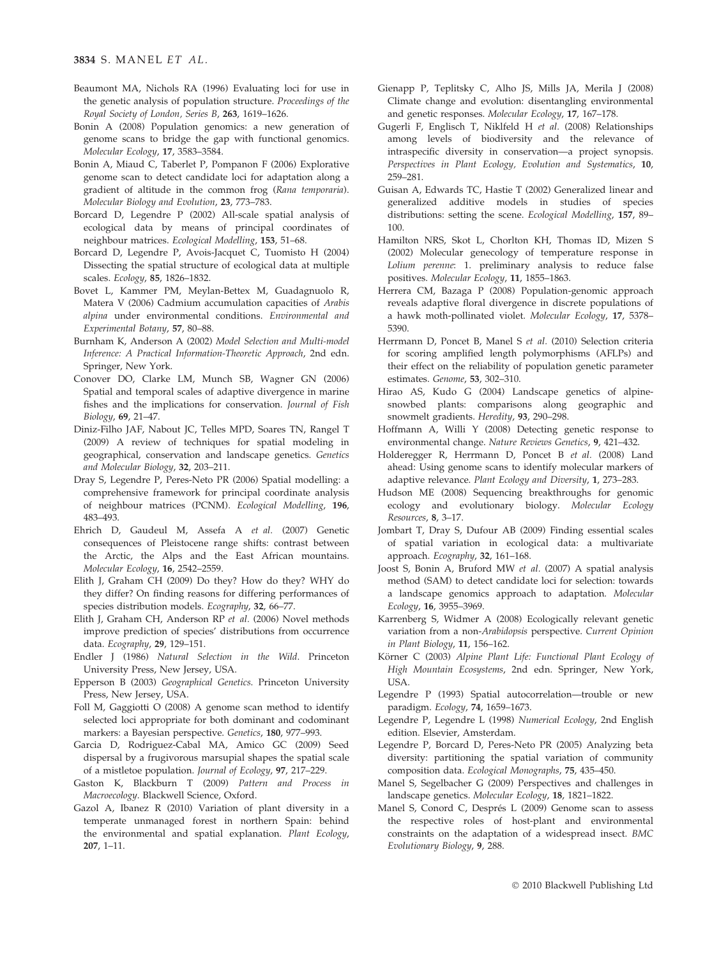- Beaumont MA, Nichols RA (1996) Evaluating loci for use in the genetic analysis of population structure. Proceedings of the Royal Society of London, Series B, 263, 1619–1626.
- Bonin A (2008) Population genomics: a new generation of genome scans to bridge the gap with functional genomics. Molecular Ecology, 17, 3583–3584.
- Bonin A, Miaud C, Taberlet P, Pompanon F (2006) Explorative genome scan to detect candidate loci for adaptation along a gradient of altitude in the common frog (Rana temporaria). Molecular Biology and Evolution, 23, 773–783.
- Borcard D, Legendre P (2002) All-scale spatial analysis of ecological data by means of principal coordinates of neighbour matrices. Ecological Modelling, 153, 51–68.
- Borcard D, Legendre P, Avois-Jacquet C, Tuomisto H (2004) Dissecting the spatial structure of ecological data at multiple scales. Ecology, 85, 1826–1832.
- Bovet L, Kammer PM, Meylan-Bettex M, Guadagnuolo R, Matera V (2006) Cadmium accumulation capacities of Arabis alpina under environmental conditions. Environmental and Experimental Botany, 57, 80–88.
- Burnham K, Anderson A (2002) Model Selection and Multi-model Inference: A Practical Information-Theoretic Approach, 2nd edn. Springer, New York.
- Conover DO, Clarke LM, Munch SB, Wagner GN (2006) Spatial and temporal scales of adaptive divergence in marine fishes and the implications for conservation. Journal of Fish Biology, 69, 21–47.
- Diniz-Filho JAF, Nabout JC, Telles MPD, Soares TN, Rangel T (2009) A review of techniques for spatial modeling in geographical, conservation and landscape genetics. Genetics and Molecular Biology, 32, 203–211.
- Dray S, Legendre P, Peres-Neto PR (2006) Spatial modelling: a comprehensive framework for principal coordinate analysis of neighbour matrices (PCNM). Ecological Modelling, 196, 483–493.
- Ehrich D, Gaudeul M, Assefa A et al. (2007) Genetic consequences of Pleistocene range shifts: contrast between the Arctic, the Alps and the East African mountains. Molecular Ecology, 16, 2542–2559.
- Elith J, Graham CH (2009) Do they? How do they? WHY do they differ? On finding reasons for differing performances of species distribution models. Ecography, 32, 66–77.
- Elith J, Graham CH, Anderson RP et al. (2006) Novel methods improve prediction of species' distributions from occurrence data. Ecography, 29, 129–151.
- Endler J (1986) Natural Selection in the Wild. Princeton University Press, New Jersey, USA.
- Epperson B (2003) Geographical Genetics. Princeton University Press, New Jersey, USA.
- Foll M, Gaggiotti O (2008) A genome scan method to identify selected loci appropriate for both dominant and codominant markers: a Bayesian perspective. Genetics, 180, 977–993.
- Garcia D, Rodriguez-Cabal MA, Amico GC (2009) Seed dispersal by a frugivorous marsupial shapes the spatial scale of a mistletoe population. Journal of Ecology, 97, 217–229.
- Gaston K, Blackburn T (2009) Pattern and Process in Macroecology. Blackwell Science, Oxford.
- Gazol A, Ibanez R (2010) Variation of plant diversity in a temperate unmanaged forest in northern Spain: behind the environmental and spatial explanation. Plant Ecology, 207, 1–11.
- Gienapp P, Teplitsky C, Alho JS, Mills JA, Merila J (2008) Climate change and evolution: disentangling environmental and genetic responses. Molecular Ecology, 17, 167–178.
- Gugerli F, Englisch T, Niklfeld H et al. (2008) Relationships among levels of biodiversity and the relevance of intraspecific diversity in conservation—a project synopsis. Perspectives in Plant Ecology, Evolution and Systematics, 10, 259–281.
- Guisan A, Edwards TC, Hastie T (2002) Generalized linear and generalized additive models in studies of species distributions: setting the scene. Ecological Modelling, 157, 89– 100.
- Hamilton NRS, Skot L, Chorlton KH, Thomas ID, Mizen S (2002) Molecular genecology of temperature response in Lolium perenne: 1. preliminary analysis to reduce false positives. Molecular Ecology, 11, 1855–1863.
- Herrera CM, Bazaga P (2008) Population-genomic approach reveals adaptive floral divergence in discrete populations of a hawk moth-pollinated violet. Molecular Ecology, 17, 5378– 5390.
- Herrmann D, Poncet B, Manel S et al. (2010) Selection criteria for scoring amplified length polymorphisms (AFLPs) and their effect on the reliability of population genetic parameter estimates. Genome, 53, 302–310.
- Hirao AS, Kudo G (2004) Landscape genetics of alpinesnowbed plants: comparisons along geographic and snowmelt gradients. Heredity, 93, 290-298.
- Hoffmann A, Willi Y (2008) Detecting genetic response to environmental change. Nature Reviews Genetics, 9, 421–432.
- Holderegger R, Herrmann D, Poncet B et al. (2008) Land ahead: Using genome scans to identify molecular markers of adaptive relevance. Plant Ecology and Diversity, 1, 273-283.
- Hudson ME (2008) Sequencing breakthroughs for genomic ecology and evolutionary biology. Molecular Ecology Resources, 8, 3–17.
- Jombart T, Dray S, Dufour AB (2009) Finding essential scales of spatial variation in ecological data: a multivariate approach. Ecography, 32, 161–168.
- Joost S, Bonin A, Bruford MW et al. (2007) A spatial analysis method (SAM) to detect candidate loci for selection: towards a landscape genomics approach to adaptation. Molecular Ecology, 16, 3955–3969.
- Karrenberg S, Widmer A (2008) Ecologically relevant genetic variation from a non-Arabidopsis perspective. Current Opinion in Plant Biology, 11, 156–162.
- Körner C (2003) Alpine Plant Life: Functional Plant Ecology of High Mountain Ecosystems, 2nd edn. Springer, New York, USA.
- Legendre P (1993) Spatial autocorrelation—trouble or new paradigm. Ecology, 74, 1659–1673.
- Legendre P, Legendre L (1998) Numerical Ecology, 2nd English edition. Elsevier, Amsterdam.
- Legendre P, Borcard D, Peres-Neto PR (2005) Analyzing beta diversity: partitioning the spatial variation of community composition data. Ecological Monographs, 75, 435–450.
- Manel S, Segelbacher G (2009) Perspectives and challenges in landscape genetics. Molecular Ecology, 18, 1821–1822.
- Manel S, Conord C, Després L (2009) Genome scan to assess the respective roles of host-plant and environmental constraints on the adaptation of a widespread insect. BMC Evolutionary Biology, 9, 288.